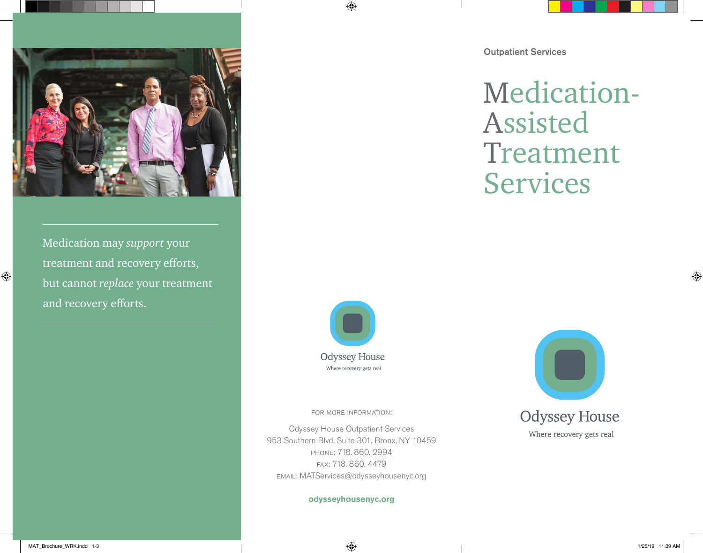

Medication may *support* your treatment and recovery efforts, but cannot *replace* your treatment and recovery efforts.

Outpatient Services

Medication-Assisted Treatment Services



 $\bigoplus$ 

for more information:

Odyssey House Outpatient Services 953 Southern Blvd, Suite 301, Bronx, NY 10459 phone: 718. 860. 2994 fax: 718. 860. 4479 email: MATServices@odysseyhousenyc.org

**odysseyhousenyc.org** 



Where recovery gets real

 $\bigoplus$ 

MAT\_Brochure\_WRK.indd 1-3 1/25/19 11:39 AM

⊕